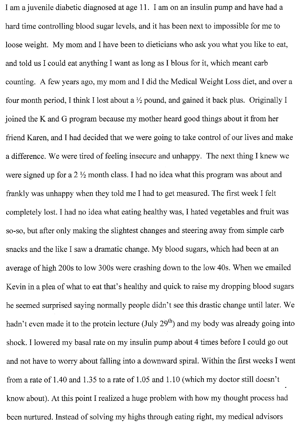I am a juvenile diabetic diagnosed at age 11. I am on an insulin pump and have had a hard time controlling blood sugar levels, and it has been next to impossible for me to loose weight. My mom and I have been to dieticians who ask you what you like to eat, and told us I could eat anything I want as long as I blous for it, which meant carb counting. A few years ago, my mom and I did the Medical Weight Loss diet, and over a four month period, I think I lost about a  $\frac{1}{2}$  pound, and gained it back plus. Originally I joined the K and G program because my mother heard good things about it from her friend Karen, and I had decided that we were going to take control of our lives and make a difference. We were tired of feeling insecure and unhappy. The next thing I knew we were signed up for a  $2 \frac{1}{2}$  month class. I had no idea what this program was about and frankly was unhappy when they told me I had to get measured. The first week I felt completely lost. I had no idea what eating healthy was, I hated vegetables and fruit was so-so, but after only making the slightest changes and steering away from simple carb snacks and the like I saw a dramatic change. My blood sugars, which had been at an average of high 200s to low 300s were crashing down to the low 40s. When we emailed Kevin in a plea of what to eat that's healthy and quick to raise my dropping blood sugars he seemed surprised saying normally people didn't see this drastic change until later. We hadn't even made it to the protein lecture (July  $29<sup>th</sup>$ ) and my body was already going into shock. I lowered my basal rate on my insulin pump about 4 times before I could go out and not have to worry about falling into a downward spiral. Within the first weeks I went from a rate of 1.40 and 1.35 to a rate of 1.05 and 1.10 (which my doctor still doesn't know about). At this point I realized a huge problem with how my thought process had been nurtured. Instead of solving my highs through eating right, my medical advisors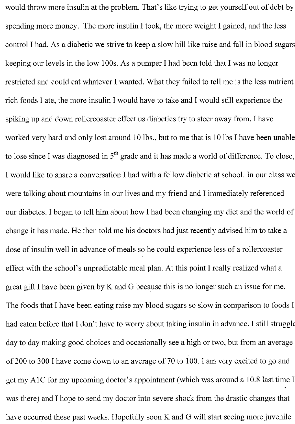would throw more insulin at the problem. That's like trying to get yourself out of debt by spending more money. The more insulin I took, the more weight I gained, and the less control I had. As a diabetic we strive to keep a slow hill like raise and fall in blood sugars keeping our levels in the low 100s. As a pumper I had been told that I was no longer restricted and could eat whatever I wanted. What they failed to tell me is the less nutrient rich foods I ate, the more insulin I would have to take and I would still experience the spiking up and down rollercoaster effect us diabetics try to steer away from. I have worked very hard and only lost around 10 lbs., but to me that is 10 lbs I have been unable to lose since I was diagnosed in  $5<sup>th</sup>$  grade and it has made a world of difference. To close, I would like to share a conversation I had with a fellow diabetic at school. In our class we were talking about mountains in our lives and my friend and I immediately referenced our diabetes. I began to tell him about how I had been changing my diet and the world of change it has made. He then told me his doctors had just recently advised him to take a dose of insulin well in advance of meals so he could experience less of a rollercoaster effect with the school's unpredictable meal plan. At this point I really realized what a great gift I have been given by K and G because this is no longer such an issue for me. The foods that I have been eating raise my blood sugars so slow in comparison to foods I had eaten before that I don't have to worry about taking insulin in advance. I still struggle day to day making good choices and occasionally see a high or two, but from an average of 200 to 300 I have come down to an average of 70 to 100. I am very excited to go and get my A1C for my upcoming doctor's appointment (which was around a 10.8 last time I was there) and I hope to send my doctor into severe shock from the drastic changes that have occurred these past weeks. Hopefully soon K and G will start seeing more juvenile